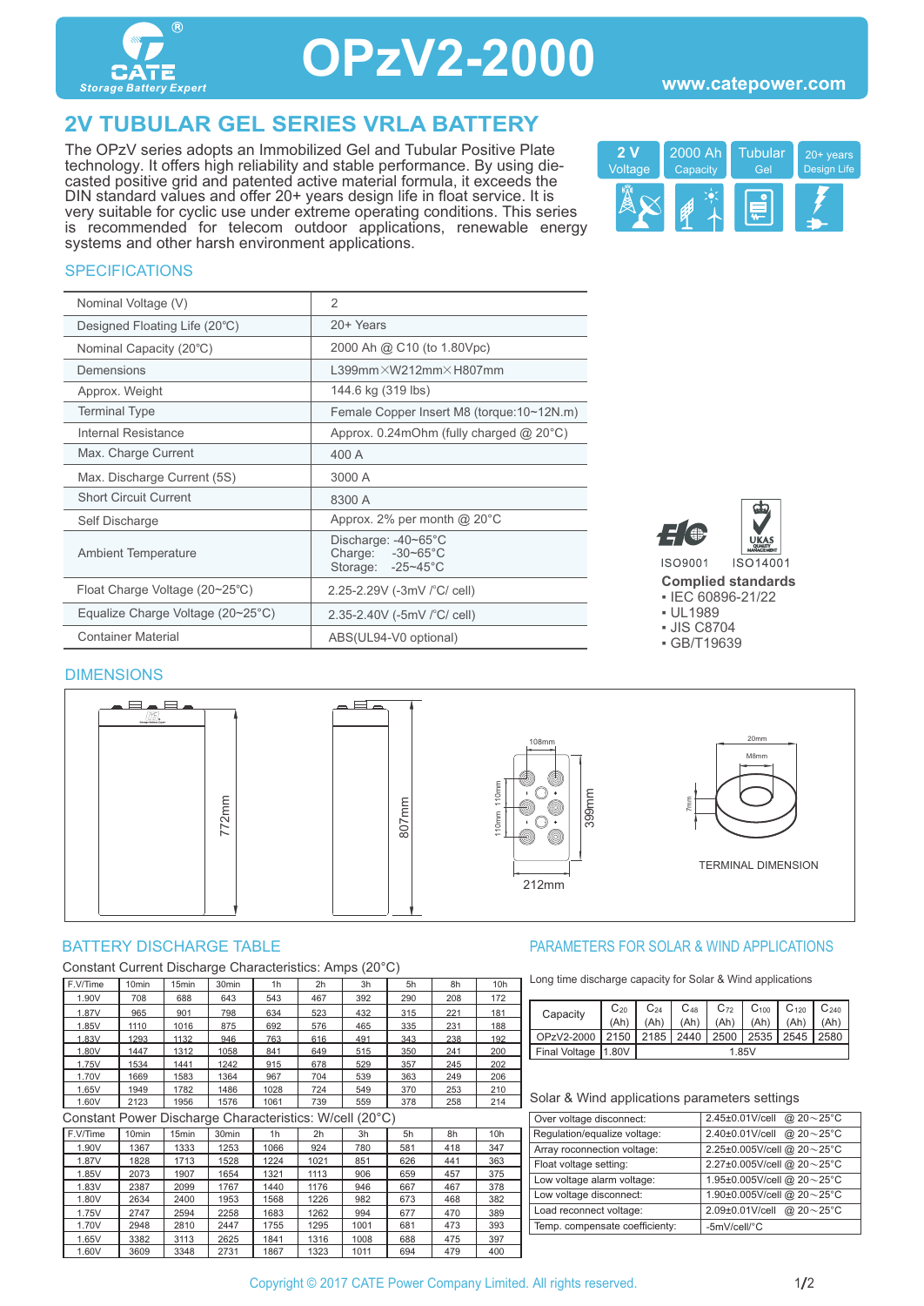

## **OPzV2-2000**

### **2V TUBULAR GEL SERIES VRLA BATTERY**

The OPzV series adopts an Immobilized Gel and Tubular Positive Plate technology. It offers high reliability and stable performance. By using diecasted positive grid and patented active material formula, it exceeds the DIN standard values and offer 20+ years design life in float service. It is very suitable for cyclic use under extreme operating conditions. This series is recommended for telecom outdoor applications, renewable energy systems and other harsh environment applications.



#### **SPECIFICATIONS**

| Nominal Voltage (V)               | $\mathfrak{D}$                                                         |
|-----------------------------------|------------------------------------------------------------------------|
| Designed Floating Life (20°C)     | 20+ Years                                                              |
| Nominal Capacity (20°C)           | 2000 Ah @ C10 (to 1.80Vpc)                                             |
| Demensions                        | $L399$ mm $\times$ W212mm $\times$ H807mm                              |
| Approx. Weight                    | 144.6 kg (319 lbs)                                                     |
| <b>Terminal Type</b>              | Female Copper Insert M8 (torque:10~12N.m)                              |
| Internal Resistance               | Approx. $0.24$ mOhm (fully charged $@$ 20 $°C$ )                       |
| Max. Charge Current               | 400 A                                                                  |
| Max. Discharge Current (5S)       | 3000 A                                                                 |
| <b>Short Circuit Current</b>      | 8300 A                                                                 |
| Self Discharge                    | Approx. 2% per month @ 20°C                                            |
| <b>Ambient Temperature</b>        | Discharge: -40~65°C<br>Charge: $-30-65^{\circ}$ C<br>Storage: -25~45°C |
| Float Charge Voltage (20~25°C)    | 2.25-2.29V (-3mV /°C/ cell)                                            |
| Equalize Charge Voltage (20~25°C) | 2.35-2.40V (-5mV /°C/ cell)                                            |
| <b>Container Material</b>         | ABS(UL94-V0 optional)                                                  |



**Complied standards** 

▪ IEC 60896-21/22

▪ UL1989

▪ JIS C8704

▪ GB/T19639

### DIMENSIONS



Constant Current Discharge Characteristics: Amps (20°C)

| F.V/Time | 10 <sub>min</sub> | 15min | 30 <sub>min</sub> | 1 <sub>h</sub> | 2h  | 3h  | 5h  | 8h  | 10h |
|----------|-------------------|-------|-------------------|----------------|-----|-----|-----|-----|-----|
| 1.90V    | 708               | 688   | 643               | 543            | 467 | 392 | 290 | 208 | 172 |
| 1.87V    | 965               | 901   | 798               | 634            | 523 | 432 | 315 | 221 | 181 |
| 1.85V    | 1110              | 1016  | 875               | 692            | 576 | 465 | 335 | 231 | 188 |
| 1.83V    | 1293              | 1132  | 946               | 763            | 616 | 491 | 343 | 238 | 192 |
| 1.80V    | 1447              | 1312  | 1058              | 841            | 649 | 515 | 350 | 241 | 200 |
| 1.75V    | 1534              | 1441  | 1242              | 915            | 678 | 529 | 357 | 245 | 202 |
| 1.70V    | 1669              | 1583  | 1364              | 967            | 704 | 539 | 363 | 249 | 206 |
| 1.65V    | 1949              | 1782  | 1486              | 1028           | 724 | 549 | 370 | 253 | 210 |
| 1.60V    | 2123              | 1956  | 1576              | 1061           | 739 | 559 | 378 | 258 | 214 |

Constant Power Discharge Characteristics: W/cell (20°C)

| F.V/Time | 10 <sub>min</sub> | 15 <sub>min</sub> | 30 <sub>min</sub> | 1 <sub>h</sub> | 2 <sub>h</sub> | 3h   | 5h  | 8h  | 10h |  |
|----------|-------------------|-------------------|-------------------|----------------|----------------|------|-----|-----|-----|--|
| 1.90V    | 1367              | 1333              | 1253              | 1066           | 924            | 780  | 581 | 418 | 347 |  |
| 1.87V    | 1828              | 1713              | 1528              | 1224           | 1021           | 851  | 626 | 441 | 363 |  |
| 1.85V    | 2073              | 1907              | 1654              | 1321           | 1113           | 906  | 659 | 457 | 375 |  |
| 1.83V    | 2387              | 2099              | 1767              | 1440           | 1176           | 946  | 667 | 467 | 378 |  |
| 1.80V    | 2634              | 2400              | 1953              | 1568           | 1226           | 982  | 673 | 468 | 382 |  |
| 1.75V    | 2747              | 2594              | 2258              | 1683           | 1262           | 994  | 677 | 470 | 389 |  |
| 1.70V    | 2948              | 2810              | 2447              | 1755           | 1295           | 1001 | 681 | 473 | 393 |  |
| 1.65V    | 3382              | 3113              | 2625              | 1841           | 1316           | 1008 | 688 | 475 | 397 |  |
| 1.60V    | 3609              | 3348              | 2731              | 1867           | 1323           | 1011 | 694 | 479 | 400 |  |

#### BATTERY DISCHARGE TABLE **External of the Solution State of the PARAMETERS FOR SOLAR & WIND APPLICATIONS**

Long time discharge capacity for Solar & Wind applications

| Capacity | $C_{20}$              | $\mathrm{C}_{24}$ | $\mathrm{C_{48}}$ | $C_{72}$ | $C_{100}$ | $C_{120}$ | $C_{240}$ |      |  |
|----------|-----------------------|-------------------|-------------------|----------|-----------|-----------|-----------|------|--|
|          |                       | (Ah               |                   |          | (Ah)      | (Ah)      |           |      |  |
|          | OPzV2-2000            | 2150              | 2185              | 2440     | 2500      | 2535      | 2545      | 2580 |  |
|          | Final Voltage   1.80V |                   | 1.85V             |          |           |           |           |      |  |
|          |                       |                   |                   |          |           |           |           |      |  |

#### Solar & Wind applications parameters settings

| Over voltage disconnect:       | 2.45±0.01V/cell<br>@ $20 - 25$ °C |
|--------------------------------|-----------------------------------|
| Regulation/equalize voltage:   | @ $20 - 25$ °C<br>2.40±0.01V/cell |
| Array roconnection voltage:    | 2.25±0.005V/cell @ 20~25°C        |
| Float voltage setting:         | 2.27±0.005V/cell @ 20~25°C        |
| Low voltage alarm voltage:     | 1.95±0.005V/cell @ 20~25°C        |
| Low voltage disconnect:        | 1.90±0.005V/cell @ 20~25°C        |
| Load reconnect voltage:        | 2.09±0.01V/cell @ 20~25°C         |
| Temp. compensate coefficienty: | -5mV/cell/°C                      |